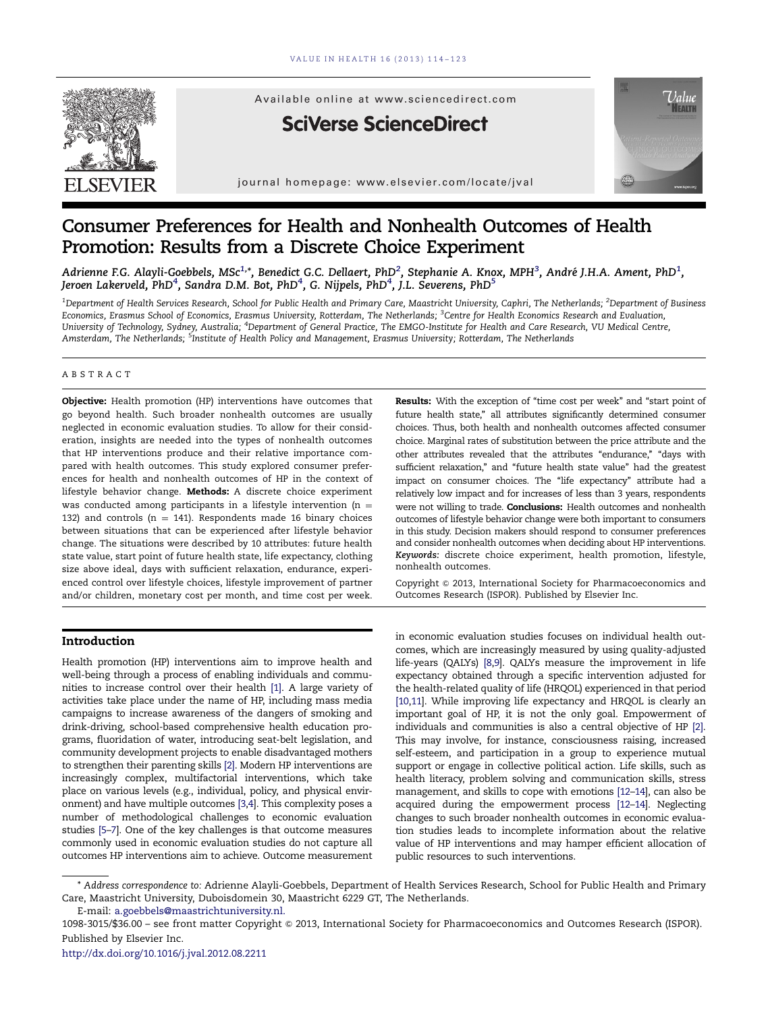

# Consumer Preferences for Health and Nonhealth Outcomes of Health Promotion: Results from a Discrete Choice Experiment

Adrienne F.G. Alayli-Goebbels, MSc $^{1,*}$ , Benedict G.C. Dellaert, PhD $^2$ , Stephanie A. Knox, MPH $^3$ , André J.H.A. Ament, PhD $^1$ , Jeroen Lakerveld, PhD $^4$ , Sandra D.M. Bot, PhD $^4$ , G. Nijpels, PhD $^4$ , J.L. Severens, PhD $^5$ 

 $^{\rm 1}$ Department of Health Services Research, School for Public Health and Primary Care, Maastricht University, Caphri, The Netherlands;  $^{\rm 2}$ Department of Business Economics, Erasmus School of Economics, Erasmus University, Rotterdam, The Netherlands; <sup>3</sup>Centre for Health Economics Research and Evaluation, University of Technology, Sydney, Australia; <sup>4</sup>Department of General Practice, The EMGO-Institute for Health and Care Research, VU Medical Centre, Amsterdam, The Netherlands; <sup>5</sup>Institute of Health Policy and Management, Erasmus University; Rotterdam, The Netherlands

#### ABSTRACT

Objective: Health promotion (HP) interventions have outcomes that go beyond health. Such broader nonhealth outcomes are usually neglected in economic evaluation studies. To allow for their consideration, insights are needed into the types of nonhealth outcomes that HP interventions produce and their relative importance compared with health outcomes. This study explored consumer preferences for health and nonhealth outcomes of HP in the context of lifestyle behavior change. Methods: A discrete choice experiment was conducted among participants in a lifestyle intervention ( $n =$ 132) and controls ( $n = 141$ ). Respondents made 16 binary choices between situations that can be experienced after lifestyle behavior change. The situations were described by 10 attributes: future health state value, start point of future health state, life expectancy, clothing size above ideal, days with sufficient relaxation, endurance, experienced control over lifestyle choices, lifestyle improvement of partner and/or children, monetary cost per month, and time cost per week.

# Introduction

Health promotion (HP) interventions aim to improve health and well-being through a process of enabling individuals and communities to increase control over their health [\[1\].](#page-8-0) A large variety of activities take place under the name of HP, including mass media campaigns to increase awareness of the dangers of smoking and drink-driving, school-based comprehensive health education programs, fluoridation of water, introducing seat-belt legislation, and community development projects to enable disadvantaged mothers to strengthen their parenting skills [\[2\].](#page-8-0) Modern HP interventions are increasingly complex, multifactorial interventions, which take place on various levels (e.g., individual, policy, and physical environment) and have multiple outcomes [\[3,4](#page-8-0)]. This complexity poses a number of methodological challenges to economic evaluation studies [\[5–7\]](#page-8-0). One of the key challenges is that outcome measures commonly used in economic evaluation studies do not capture all outcomes HP interventions aim to achieve. Outcome measurement

Results: With the exception of "time cost per week" and "start point of future health state,'' all attributes significantly determined consumer choices. Thus, both health and nonhealth outcomes affected consumer choice. Marginal rates of substitution between the price attribute and the other attributes revealed that the attributes "endurance," "days with sufficient relaxation," and "future health state value" had the greatest impact on consumer choices. The "life expectancy" attribute had a relatively low impact and for increases of less than 3 years, respondents were not willing to trade. **Conclusions:** Health outcomes and nonhealth outcomes of lifestyle behavior change were both important to consumers in this study. Decision makers should respond to consumer preferences and consider nonhealth outcomes when deciding about HP interventions. Keywords: discrete choice experiment, health promotion, lifestyle, nonhealth outcomes.

Value

Copyright © 2013, International Society for Pharmacoeconomics and Outcomes Research (ISPOR). Published by Elsevier Inc.

in economic evaluation studies focuses on individual health outcomes, which are increasingly measured by using quality-adjusted life-years (QALYs) [\[8,9](#page-8-0)]. QALYs measure the improvement in life expectancy obtained through a specific intervention adjusted for the health-related quality of life (HRQOL) experienced in that period [\[10,11](#page-8-0)]. While improving life expectancy and HRQOL is clearly an important goal of HP, it is not the only goal. Empowerment of individuals and communities is also a central objective of HP [\[2\].](#page-8-0) This may involve, for instance, consciousness raising, increased self-esteem, and participation in a group to experience mutual support or engage in collective political action. Life skills, such as health literacy, problem solving and communication skills, stress management, and skills to cope with emotions [\[12–14](#page-8-0)], can also be acquired during the empowerment process [\[12–14\]](#page-8-0). Neglecting changes to such broader nonhealth outcomes in economic evaluation studies leads to incomplete information about the relative value of HP interventions and may hamper efficient allocation of public resources to such interventions.

E-mail: [a.goebbels@maastrichtuniversity.nl.](mailto:a.goebbels@maastrichtuniversity.nl) \* Address correspondence to: Adrienne Alayli-Goebbels, Department of Health Services Research, School for Public Health and Primary Care, Maastricht University, Duboisdomein 30, Maastricht 6229 GT, The Netherlands.

<sup>1098-3015/\$36.00 –</sup> see front matter Copyright & 2013, International Society for Pharmacoeconomics and Outcomes Research (ISPOR). Published by Elsevier Inc.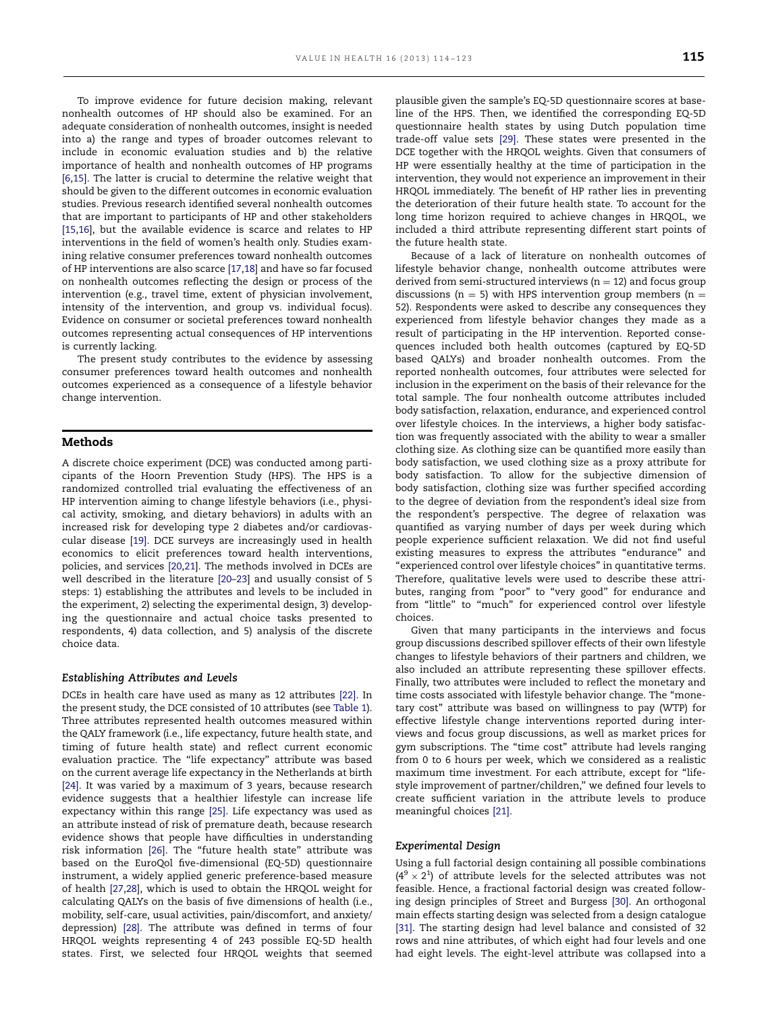To improve evidence for future decision making, relevant nonhealth outcomes of HP should also be examined. For an adequate consideration of nonhealth outcomes, insight is needed into a) the range and types of broader outcomes relevant to include in economic evaluation studies and b) the relative importance of health and nonhealth outcomes of HP programs [\[6](#page-8-0),[15\]](#page-8-0). The latter is crucial to determine the relative weight that should be given to the different outcomes in economic evaluation studies. Previous research identified several nonhealth outcomes that are important to participants of HP and other stakeholders [\[15,16](#page-8-0)], but the available evidence is scarce and relates to HP interventions in the field of women's health only. Studies examining relative consumer preferences toward nonhealth outcomes of HP interventions are also scarce [\[17,18](#page-9-0)] and have so far focused on nonhealth outcomes reflecting the design or process of the intervention (e.g., travel time, extent of physician involvement, intensity of the intervention, and group vs. individual focus). Evidence on consumer or societal preferences toward nonhealth outcomes representing actual consequences of HP interventions is currently lacking.

The present study contributes to the evidence by assessing consumer preferences toward health outcomes and nonhealth outcomes experienced as a consequence of a lifestyle behavior change intervention.

## Methods

A discrete choice experiment (DCE) was conducted among participants of the Hoorn Prevention Study (HPS). The HPS is a randomized controlled trial evaluating the effectiveness of an HP intervention aiming to change lifestyle behaviors (i.e., physical activity, smoking, and dietary behaviors) in adults with an increased risk for developing type 2 diabetes and/or cardiovascular disease [\[19\].](#page-9-0) DCE surveys are increasingly used in health economics to elicit preferences toward health interventions, policies, and services [\[20,21](#page-9-0)]. The methods involved in DCEs are well described in the literature [\[20](#page-9-0)–[23](#page-9-0)] and usually consist of 5 steps: 1) establishing the attributes and levels to be included in the experiment, 2) selecting the experimental design, 3) developing the questionnaire and actual choice tasks presented to respondents, 4) data collection, and 5) analysis of the discrete choice data.

#### Establishing Attributes and Levels

DCEs in health care have used as many as 12 attributes [\[22\]](#page-9-0). In the present study, the DCE consisted of 10 attributes (see [Table 1\)](#page-2-0). Three attributes represented health outcomes measured within the QALY framework (i.e., life expectancy, future health state, and timing of future health state) and reflect current economic evaluation practice. The ''life expectancy'' attribute was based on the current average life expectancy in the Netherlands at birth [\[24\]](#page-9-0). It was varied by a maximum of 3 years, because research evidence suggests that a healthier lifestyle can increase life expectancy within this range [\[25\].](#page-9-0) Life expectancy was used as an attribute instead of risk of premature death, because research evidence shows that people have difficulties in understanding risk information [\[26\].](#page-9-0) The "future health state" attribute was based on the EuroQol five-dimensional (EQ-5D) questionnaire instrument, a widely applied generic preference-based measure of health [\[27,28\]](#page-9-0), which is used to obtain the HRQOL weight for calculating QALYs on the basis of five dimensions of health (i.e., mobility, self-care, usual activities, pain/discomfort, and anxiety/ depression) [\[28\]](#page-9-0). The attribute was defined in terms of four HRQOL weights representing 4 of 243 possible EQ-5D health states. First, we selected four HRQOL weights that seemed

plausible given the sample's EQ-5D questionnaire scores at baseline of the HPS. Then, we identified the corresponding EQ-5D questionnaire health states by using Dutch population time trade-off value sets [\[29\]](#page-9-0). These states were presented in the DCE together with the HRQOL weights. Given that consumers of HP were essentially healthy at the time of participation in the intervention, they would not experience an improvement in their HRQOL immediately. The benefit of HP rather lies in preventing the deterioration of their future health state. To account for the long time horizon required to achieve changes in HRQOL, we included a third attribute representing different start points of the future health state.

Because of a lack of literature on nonhealth outcomes of lifestyle behavior change, nonhealth outcome attributes were derived from semi-structured interviews ( $n = 12$ ) and focus group discussions (n = 5) with HPS intervention group members (n = 52). Respondents were asked to describe any consequences they experienced from lifestyle behavior changes they made as a result of participating in the HP intervention. Reported consequences included both health outcomes (captured by EQ-5D based QALYs) and broader nonhealth outcomes. From the reported nonhealth outcomes, four attributes were selected for inclusion in the experiment on the basis of their relevance for the total sample. The four nonhealth outcome attributes included body satisfaction, relaxation, endurance, and experienced control over lifestyle choices. In the interviews, a higher body satisfaction was frequently associated with the ability to wear a smaller clothing size. As clothing size can be quantified more easily than body satisfaction, we used clothing size as a proxy attribute for body satisfaction. To allow for the subjective dimension of body satisfaction, clothing size was further specified according to the degree of deviation from the respondent's ideal size from the respondent's perspective. The degree of relaxation was quantified as varying number of days per week during which people experience sufficient relaxation. We did not find useful existing measures to express the attributes "endurance" and "experienced control over lifestyle choices" in quantitative terms. Therefore, qualitative levels were used to describe these attributes, ranging from "poor" to "very good" for endurance and from "little" to "much" for experienced control over lifestyle choices.

Given that many participants in the interviews and focus group discussions described spillover effects of their own lifestyle changes to lifestyle behaviors of their partners and children, we also included an attribute representing these spillover effects. Finally, two attributes were included to reflect the monetary and time costs associated with lifestyle behavior change. The "monetary cost'' attribute was based on willingness to pay (WTP) for effective lifestyle change interventions reported during interviews and focus group discussions, as well as market prices for gym subscriptions. The ''time cost'' attribute had levels ranging from 0 to 6 hours per week, which we considered as a realistic maximum time investment. For each attribute, except for "lifestyle improvement of partner/children," we defined four levels to create sufficient variation in the attribute levels to produce meaningful choices [\[21\]](#page-9-0).

## Experimental Design

Using a full factorial design containing all possible combinations  $(4^9 \times 2^1)$  of attribute levels for the selected attributes was not feasible. Hence, a fractional factorial design was created following design principles of Street and Burgess [\[30\]](#page-9-0). An orthogonal main effects starting design was selected from a design catalogue [\[31\].](#page-9-0) The starting design had level balance and consisted of 32 rows and nine attributes, of which eight had four levels and one had eight levels. The eight-level attribute was collapsed into a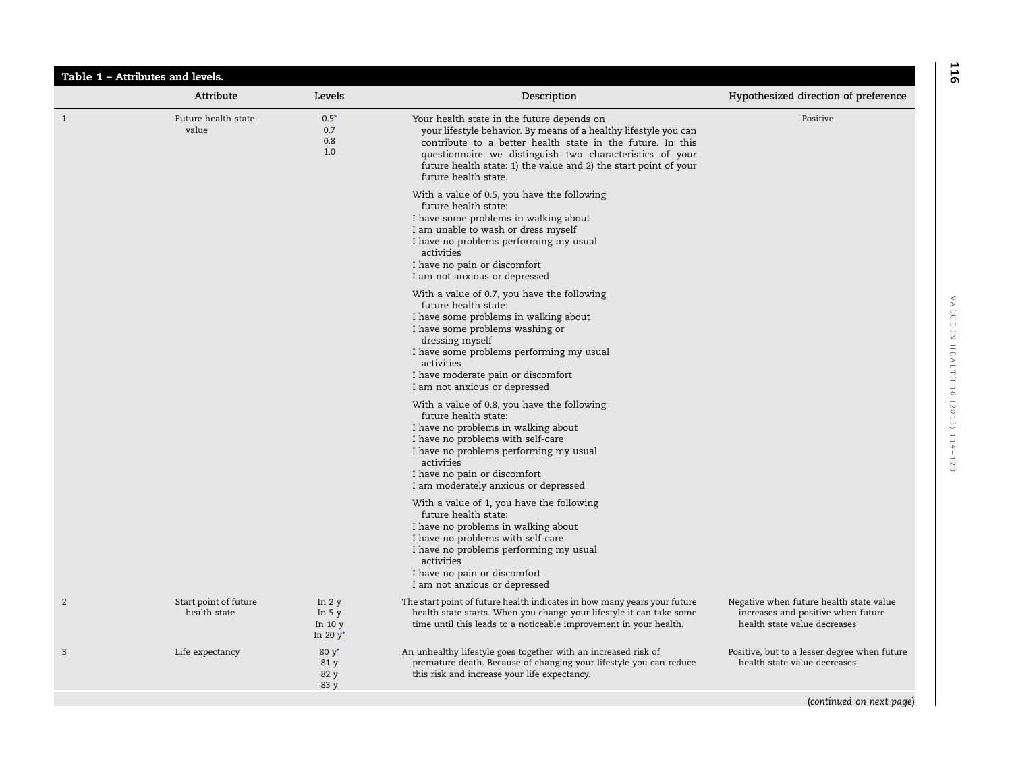<span id="page-2-0"></span>

|                | Attribute                             | Levels                                        | Description                                                                                                                                                                                                                                                                                                                          | Hypothesized direction of preference                                                                          |
|----------------|---------------------------------------|-----------------------------------------------|--------------------------------------------------------------------------------------------------------------------------------------------------------------------------------------------------------------------------------------------------------------------------------------------------------------------------------------|---------------------------------------------------------------------------------------------------------------|
|                | Future health state<br>value          | $0.5*$<br>0.7<br>0.8<br>1.0                   | Your health state in the future depends on<br>your lifestyle behavior. By means of a healthy lifestyle you can<br>contribute to a better health state in the future. In this<br>questionnaire we distinguish two characteristics of your<br>future health state: 1) the value and 2) the start point of your<br>future health state. | Positive                                                                                                      |
|                |                                       |                                               | With a value of 0.5, you have the following<br>future health state:<br>I have some problems in walking about<br>I am unable to wash or dress myself<br>I have no problems performing my usual<br>activities<br>I have no pain or discomfort<br>I am not anxious or depressed                                                         |                                                                                                               |
|                |                                       |                                               | With a value of 0.7, you have the following<br>future health state:<br>I have some problems in walking about<br>I have some problems washing or<br>dressing myself<br>I have some problems performing my usual<br>activities<br>I have moderate pain or discomfort<br>I am not anxious or depressed                                  |                                                                                                               |
|                |                                       |                                               | With a value of 0.8, you have the following<br>future health state:<br>I have no problems in walking about<br>I have no problems with self-care<br>I have no problems performing my usual<br>activities<br>I have no pain or discomfort<br>I am moderately anxious or depressed                                                      |                                                                                                               |
|                |                                       |                                               | With a value of 1, you have the following<br>future health state:<br>I have no problems in walking about<br>I have no problems with self-care<br>I have no problems performing my usual<br>activities<br>I have no pain or discomfort<br>I am not anxious or depressed                                                               |                                                                                                               |
| $\overline{2}$ | Start point of future<br>health state | In $2y$<br>In $5y$<br>In $10y$<br>In 20 $y^*$ | The start point of future health indicates in how many years your future<br>health state starts. When you change your lifestyle it can take some<br>time until this leads to a noticeable improvement in your health.                                                                                                                | Negative when future health state value<br>increases and positive when future<br>health state value decreases |
| 3              | Life expectancy                       | $80y^*$<br>81 y<br>82 y<br>83 y               | An unhealthy lifestyle goes together with an increased risk of<br>premature death. Because of changing your lifestyle you can reduce<br>this risk and increase your life expectancy.                                                                                                                                                 | Positive, but to a lesser degree when future<br>health state value decreases                                  |

 $\overline{\phantom{a}}$ 

(continued on next page)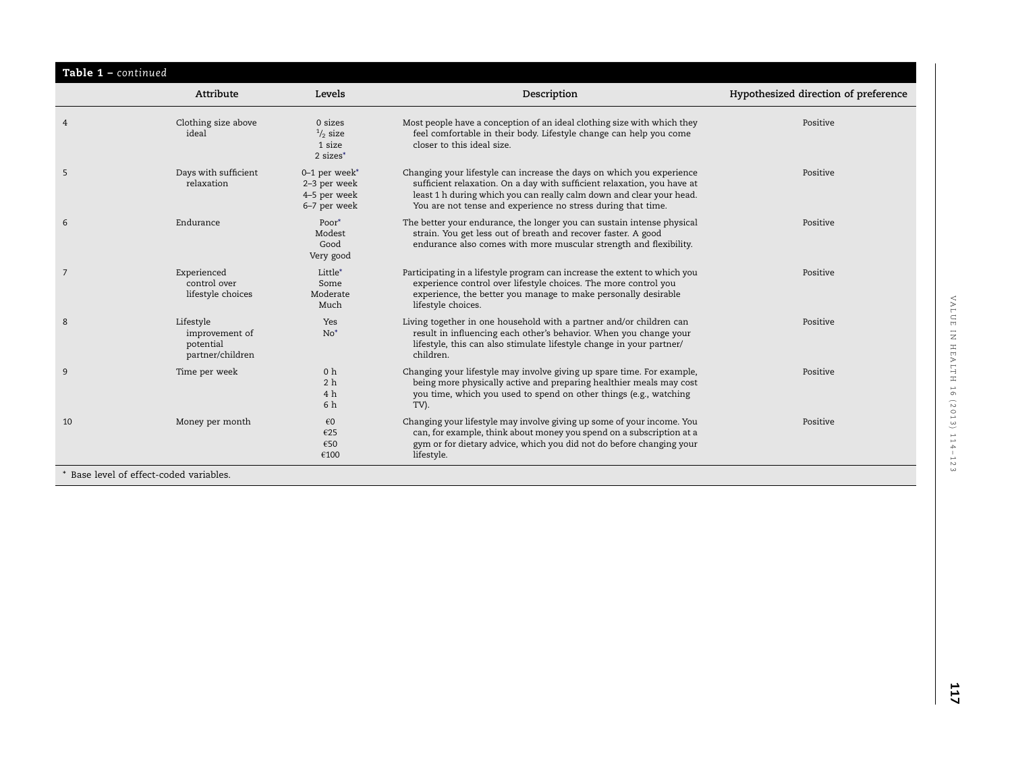| Table 1 - continued |                                                              |                                                               |                                                                                                                                                                                                                                                                                          |                                      |
|---------------------|--------------------------------------------------------------|---------------------------------------------------------------|------------------------------------------------------------------------------------------------------------------------------------------------------------------------------------------------------------------------------------------------------------------------------------------|--------------------------------------|
|                     | Attribute                                                    | Levels                                                        | Description                                                                                                                                                                                                                                                                              | Hypothesized direction of preference |
| $\overline{4}$      | Clothing size above<br>ideal                                 | 0 sizes<br>$\frac{1}{2}$ size<br>1 size<br>2 sizes*           | Most people have a conception of an ideal clothing size with which they<br>feel comfortable in their body. Lifestyle change can help you come<br>closer to this ideal size.                                                                                                              | Positive                             |
| 5                   | Days with sufficient<br>relaxation                           | 0-1 per week*<br>2-3 per week<br>4-5 per week<br>6-7 per week | Changing your lifestyle can increase the days on which you experience<br>sufficient relaxation. On a day with sufficient relaxation, you have at<br>least 1 h during which you can really calm down and clear your head.<br>You are not tense and experience no stress during that time. | Positive                             |
| 6                   | Endurance                                                    | Poor*<br>Modest<br>Good<br>Very good                          | The better your endurance, the longer you can sustain intense physical<br>strain. You get less out of breath and recover faster. A good<br>endurance also comes with more muscular strength and flexibility.                                                                             | Positive                             |
| 7                   | Experienced<br>control over<br>lifestyle choices             | Little*<br>Some<br>Moderate<br>Much                           | Participating in a lifestyle program can increase the extent to which you<br>experience control over lifestyle choices. The more control you<br>experience, the better you manage to make personally desirable<br>lifestyle choices.                                                     | Positive                             |
| 8                   | Lifestyle<br>improvement of<br>potential<br>partner/children | Yes<br>$No*$                                                  | Living together in one household with a partner and/or children can<br>result in influencing each other's behavior. When you change your<br>lifestyle, this can also stimulate lifestyle change in your partner/<br>children.                                                            | Positive                             |
| 9                   | Time per week                                                | 0 <sub>h</sub><br>2 <sub>h</sub><br>4 h<br>6 h                | Changing your lifestyle may involve giving up spare time. For example,<br>being more physically active and preparing healthier meals may cost<br>you time, which you used to spend on other things (e.g., watching<br>TV).                                                               | Positive                             |
| 10                  | Money per month                                              | $\epsilon$ o<br>E25<br>€50<br>€100                            | Changing your lifestyle may involve giving up some of your income. You<br>can, for example, think about money you spend on a subscription at a<br>gym or for dietary advice, which you did not do before changing your<br>lifestyle.                                                     | Positive                             |

\* Base level of effect-coded variables.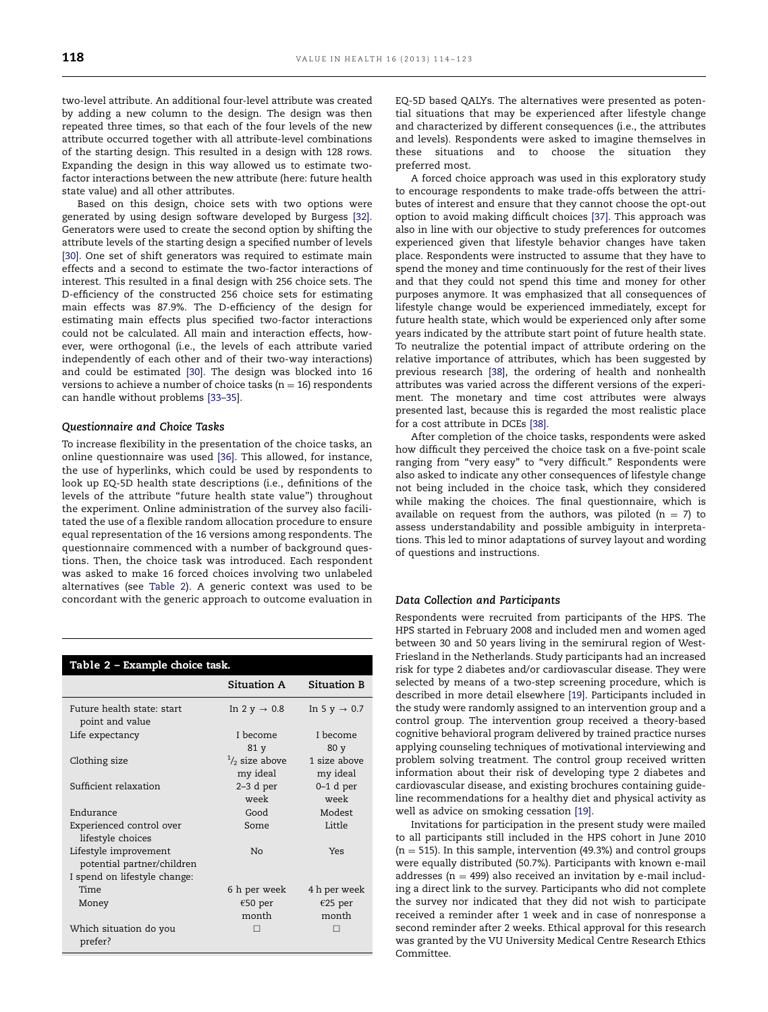two-level attribute. An additional four-level attribute was created by adding a new column to the design. The design was then repeated three times, so that each of the four levels of the new attribute occurred together with all attribute-level combinations of the starting design. This resulted in a design with 128 rows. Expanding the design in this way allowed us to estimate twofactor interactions between the new attribute (here: future health state value) and all other attributes.

Based on this design, choice sets with two options were generated by using design software developed by Burgess [\[32\].](#page-9-0) Generators were used to create the second option by shifting the attribute levels of the starting design a specified number of levels [\[30\]](#page-9-0). One set of shift generators was required to estimate main effects and a second to estimate the two-factor interactions of interest. This resulted in a final design with 256 choice sets. The D-efficiency of the constructed 256 choice sets for estimating main effects was 87.9%. The D-efficiency of the design for estimating main effects plus specified two-factor interactions could not be calculated. All main and interaction effects, however, were orthogonal (i.e., the levels of each attribute varied independently of each other and of their two-way interactions) and could be estimated [\[30\]](#page-9-0). The design was blocked into 16 versions to achieve a number of choice tasks ( $n = 16$ ) respondents can handle without problems [\[33](#page-9-0)–[35](#page-9-0)].

### Questionnaire and Choice Tasks

To increase flexibility in the presentation of the choice tasks, an online questionnaire was used [\[36\]](#page-9-0). This allowed, for instance, the use of hyperlinks, which could be used by respondents to look up EQ-5D health state descriptions (i.e., definitions of the levels of the attribute "future health state value") throughout the experiment. Online administration of the survey also facilitated the use of a flexible random allocation procedure to ensure equal representation of the 16 versions among respondents. The questionnaire commenced with a number of background questions. Then, the choice task was introduced. Each respondent was asked to make 16 forced choices involving two unlabeled alternatives (see Table 2). A generic context was used to be concordant with the generic approach to outcome evaluation in

| Table 2 - Example choice task.                      |                                      |                             |  |  |  |
|-----------------------------------------------------|--------------------------------------|-----------------------------|--|--|--|
|                                                     | Situation A                          | <b>Situation B</b>          |  |  |  |
| Future health state: start<br>point and value       | In 2 y $\rightarrow$ 0.8             | In 5 y $\rightarrow$ 0.7    |  |  |  |
| Life expectancy                                     | I hecome<br>81 y                     | I hecome<br>80 <sub>V</sub> |  |  |  |
| Clothing size                                       | $\frac{1}{2}$ size above<br>my ideal | 1 size above<br>my ideal    |  |  |  |
| Sufficient relaxation                               | $2-3$ d per<br>week                  | $0-1$ d per<br>week         |  |  |  |
| Endurance                                           | Good                                 | Modest                      |  |  |  |
| Experienced control over<br>lifestyle choices       | Some                                 | Little                      |  |  |  |
| Lifestyle improvement<br>potential partner/children | No                                   | Yes                         |  |  |  |
| I spend on lifestyle change:                        |                                      |                             |  |  |  |
| Time                                                | 6 h per week                         | 4 h per week                |  |  |  |
| Money                                               | €50 per<br>month                     | €25 per<br>month            |  |  |  |
| Which situation do you<br>prefer?                   |                                      |                             |  |  |  |

EQ-5D based QALYs. The alternatives were presented as potential situations that may be experienced after lifestyle change and characterized by different consequences (i.e., the attributes and levels). Respondents were asked to imagine themselves in these situations and to choose the situation they preferred most.

A forced choice approach was used in this exploratory study to encourage respondents to make trade-offs between the attributes of interest and ensure that they cannot choose the opt-out option to avoid making difficult choices [\[37\]](#page-9-0). This approach was also in line with our objective to study preferences for outcomes experienced given that lifestyle behavior changes have taken place. Respondents were instructed to assume that they have to spend the money and time continuously for the rest of their lives and that they could not spend this time and money for other purposes anymore. It was emphasized that all consequences of lifestyle change would be experienced immediately, except for future health state, which would be experienced only after some years indicated by the attribute start point of future health state. To neutralize the potential impact of attribute ordering on the relative importance of attributes, which has been suggested by previous research [\[38\],](#page-9-0) the ordering of health and nonhealth attributes was varied across the different versions of the experiment. The monetary and time cost attributes were always presented last, because this is regarded the most realistic place for a cost attribute in DCEs [\[38\].](#page-9-0)

After completion of the choice tasks, respondents were asked how difficult they perceived the choice task on a five-point scale ranging from "very easy" to "very difficult." Respondents were also asked to indicate any other consequences of lifestyle change not being included in the choice task, which they considered while making the choices. The final questionnaire, which is available on request from the authors, was piloted ( $n = 7$ ) to assess understandability and possible ambiguity in interpretations. This led to minor adaptations of survey layout and wording of questions and instructions.

## Data Collection and Participants

Respondents were recruited from participants of the HPS. The HPS started in February 2008 and included men and women aged between 30 and 50 years living in the semirural region of West-Friesland in the Netherlands. Study participants had an increased risk for type 2 diabetes and/or cardiovascular disease. They were selected by means of a two-step screening procedure, which is described in more detail elsewhere [\[19\].](#page-9-0) Participants included in the study were randomly assigned to an intervention group and a control group. The intervention group received a theory-based cognitive behavioral program delivered by trained practice nurses applying counseling techniques of motivational interviewing and problem solving treatment. The control group received written information about their risk of developing type 2 diabetes and cardiovascular disease, and existing brochures containing guideline recommendations for a healthy diet and physical activity as well as advice on smoking cessation [\[19\]](#page-9-0).

Invitations for participation in the present study were mailed to all participants still included in the HPS cohort in June 2010  $(n = 515)$ . In this sample, intervention (49.3%) and control groups were equally distributed (50.7%). Participants with known e-mail addresses ( $n = 499$ ) also received an invitation by e-mail including a direct link to the survey. Participants who did not complete the survey nor indicated that they did not wish to participate received a reminder after 1 week and in case of nonresponse a second reminder after 2 weeks. Ethical approval for this research was granted by the VU University Medical Centre Research Ethics Committee.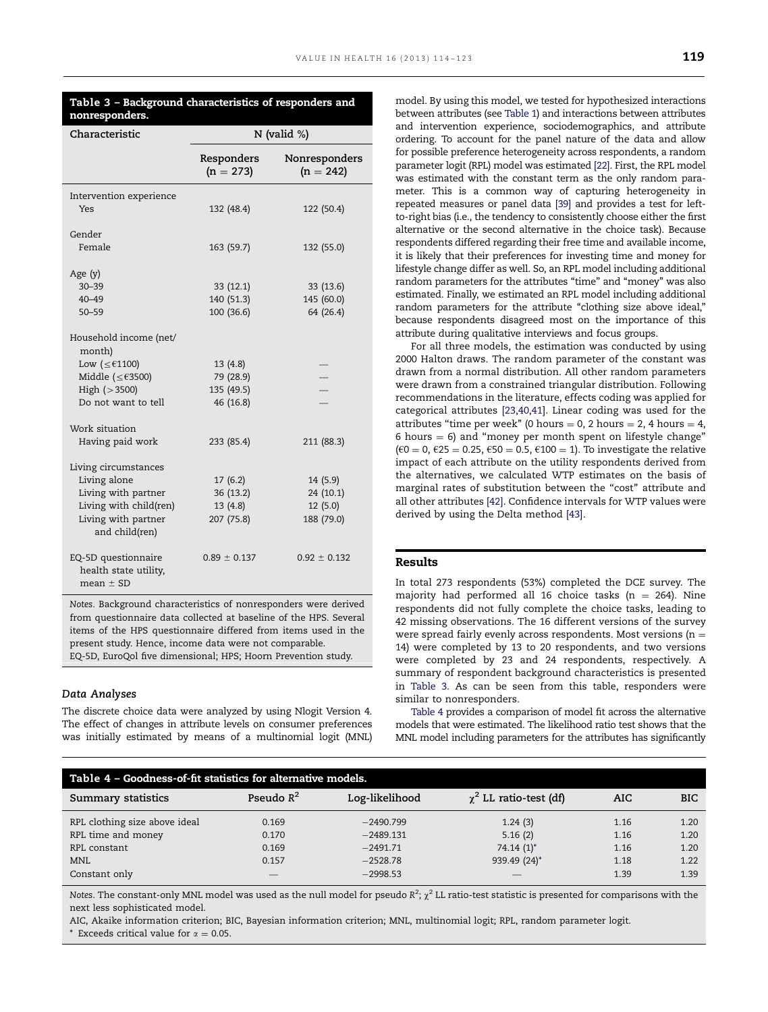| nonresponders.                                                |                           |                              |  |
|---------------------------------------------------------------|---------------------------|------------------------------|--|
| Characteristic                                                | $N$ (valid %)             |                              |  |
|                                                               | Responders<br>$(n = 273)$ | Nonresponders<br>$(n = 242)$ |  |
| Intervention experience                                       |                           |                              |  |
| Yes                                                           | 132 (48.4)                | 122 (50.4)                   |  |
| Gender                                                        |                           |                              |  |
| Female                                                        | 163 (59.7)                | 132 (55.0)                   |  |
| Age (y)                                                       |                           |                              |  |
| $30 - 39$                                                     | 33(12.1)                  | 33(13.6)                     |  |
| $40 - 49$                                                     | 140 (51.3)                | 145 (60.0)                   |  |
| $50 - 59$                                                     | 100(36.6)                 | 64 (26.4)                    |  |
| Household income (net/<br>month)                              |                           |                              |  |
| Low ( $\leq \in$ 1100)                                        | 13(4.8)                   |                              |  |
| Middle ( $\leq \epsilon$ 3500)                                | 79 (28.9)                 |                              |  |
| High $(>3500)$                                                | 135 (49.5)                |                              |  |
| Do not want to tell                                           | 46 (16.8)                 |                              |  |
| Work situation                                                |                           |                              |  |
| Having paid work                                              | 233 (85.4)                | 211 (88.3)                   |  |
| Living circumstances                                          |                           |                              |  |
| Living alone                                                  | 17(6.2)                   | 14(5.9)                      |  |
| Living with partner                                           | 36(13.2)                  | 24(10.1)                     |  |
| Living with child(ren)                                        | 13(4.8)                   | 12(5.0)                      |  |
| Living with partner<br>and child(ren)                         | 207 (75.8)                | 188 (79.0)                   |  |
| EQ-5D questionnaire<br>health state utility,<br>$mean \pm SD$ | $0.89 \pm 0.137$          | $0.92 \pm 0.132$             |  |

<span id="page-5-0"></span>Table 3 – Background characteristics of responders and

Notes. Background characteristics of nonresponders were derived from questionnaire data collected at baseline of the HPS. Several items of the HPS questionnaire differed from items used in the present study. Hence, income data were not comparable. EQ-5D, EuroQol five dimensional; HPS; Hoorn Prevention study.

# Data Analyses

The discrete choice data were analyzed by using Nlogit Version 4. The effect of changes in attribute levels on consumer preferences was initially estimated by means of a multinomial logit (MNL)

model. By using this model, we tested for hypothesized interactions between attributes (see [Table 1](#page-2-0)) and interactions between attributes and intervention experience, sociodemographics, and attribute ordering. To account for the panel nature of the data and allow for possible preference heterogeneity across respondents, a random parameter logit (RPL) model was estimated [\[22\].](#page-9-0) First, the RPL model was estimated with the constant term as the only random parameter. This is a common way of capturing heterogeneity in repeated measures or panel data [\[39\]](#page-9-0) and provides a test for leftto-right bias (i.e., the tendency to consistently choose either the first alternative or the second alternative in the choice task). Because respondents differed regarding their free time and available income, it is likely that their preferences for investing time and money for lifestyle change differ as well. So, an RPL model including additional random parameters for the attributes "time" and "money" was also estimated. Finally, we estimated an RPL model including additional random parameters for the attribute "clothing size above ideal," because respondents disagreed most on the importance of this attribute during qualitative interviews and focus groups.

For all three models, the estimation was conducted by using 2000 Halton draws. The random parameter of the constant was drawn from a normal distribution. All other random parameters were drawn from a constrained triangular distribution. Following recommendations in the literature, effects coding was applied for categorical attributes [\[23,40,41\]](#page-9-0). Linear coding was used for the attributes "time per week" (0 hours  $= 0$ , 2 hours  $= 2$ , 4 hours  $= 4$ , 6 hours  $= 6$ ) and "money per month spent on lifestyle change"  $(60 = 0, 625 = 0.25, 650 = 0.5, 6100 = 1)$ . To investigate the relative impact of each attribute on the utility respondents derived from the alternatives, we calculated WTP estimates on the basis of marginal rates of substitution between the "cost" attribute and all other attributes [\[42\]](#page-9-0). Confidence intervals for WTP values were derived by using the Delta method [\[43\].](#page-9-0)

### Results

In total 273 respondents (53%) completed the DCE survey. The majority had performed all 16 choice tasks ( $n = 264$ ). Nine respondents did not fully complete the choice tasks, leading to 42 missing observations. The 16 different versions of the survey were spread fairly evenly across respondents. Most versions ( $n =$ 14) were completed by 13 to 20 respondents, and two versions were completed by 23 and 24 respondents, respectively. A summary of respondent background characteristics is presented in Table 3. As can be seen from this table, responders were similar to nonresponders.

Table 4 provides a comparison of model fit across the alternative models that were estimated. The likelihood ratio test shows that the MNL model including parameters for the attributes has significantly

| Table 4 - Goodness-of-fit statistics for alternative models. |              |                |                             |      |            |  |
|--------------------------------------------------------------|--------------|----------------|-----------------------------|------|------------|--|
| Summary statistics                                           | Pseudo $R^2$ | Log-likelihood | $\chi^2$ LL ratio-test (df) | AIC  | <b>BIC</b> |  |
| RPL clothing size above ideal                                | 0.169        | $-2490.799$    | 1.24(3)                     | 1.16 | 1.20       |  |
| RPL time and money                                           | 0.170        | $-2489.131$    | 5.16(2)                     | 1.16 | 1.20       |  |
| RPL constant                                                 | 0.169        | $-2491.71$     | $74.14(1)$ *                | 1.16 | 1.20       |  |
| <b>MNL</b>                                                   | 0.157        | $-2528.78$     | 939.49 (24)*                | 1.18 | 1.22       |  |
| Constant only                                                | $-$          | $-2998.53$     |                             | 1.39 | 1.39       |  |

Notes. The constant-only MNL model was used as the null model for pseudo  $R^2$ ;  $\chi^2$  LL ratio-test statistic is presented for comparisons with the next less sophisticated model.

AIC, Akaike information criterion; BIC, Bayesian information criterion; MNL, multinomial logit; RPL, random parameter logit.

\* Exceeds critical value for  $\alpha = 0.05$ .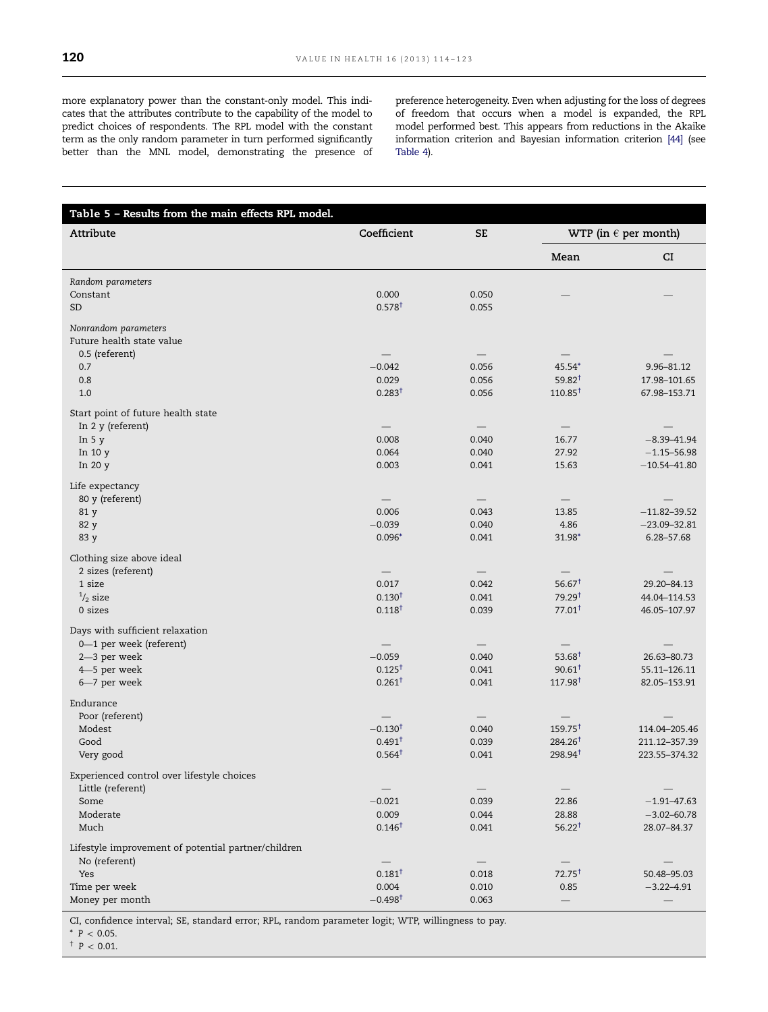<span id="page-6-0"></span>more explanatory power than the constant-only model. This indicates that the attributes contribute to the capability of the model to predict choices of respondents. The RPL model with the constant term as the only random parameter in turn performed significantly better than the MNL model, demonstrating the presence of preference heterogeneity. Even when adjusting for the loss of degrees of freedom that occurs when a model is expanded, the RPL model performed best. This appears from reductions in the Akaike information criterion and Bayesian information criterion [\[44\]](#page-9-0) (see [Table 4\)](#page-5-0).

| Table 5 - Results from the main effects RPL model.  |                                 |                               |                               |                                 |  |
|-----------------------------------------------------|---------------------------------|-------------------------------|-------------------------------|---------------------------------|--|
| Attribute                                           | Coefficient<br><b>SE</b>        |                               | WTP (in $\epsilon$ per month) |                                 |  |
|                                                     |                                 |                               | Mean                          | CI                              |  |
| Random parameters                                   |                                 |                               |                               |                                 |  |
| Constant                                            | 0.000                           | 0.050                         |                               |                                 |  |
| SD                                                  | 0.578 <sup>†</sup>              | 0.055                         |                               |                                 |  |
| Nonrandom parameters                                |                                 |                               |                               |                                 |  |
| Future health state value                           |                                 |                               |                               |                                 |  |
| 0.5 (referent)                                      |                                 |                               |                               |                                 |  |
| 0.7                                                 | $-0.042$                        | 0.056                         | 45.54*                        | 9.96-81.12                      |  |
| 0.8                                                 | 0.029                           | 0.056                         | $59.82^{+}$                   | 17.98-101.65                    |  |
| 1.0                                                 | 0.283 <sup>†</sup>              | 0.056                         | $110.85^+$                    | 67.98-153.71                    |  |
| Start point of future health state                  |                                 |                               |                               |                                 |  |
| In 2 y (referent)                                   |                                 |                               |                               |                                 |  |
| In $5y$                                             | 0.008                           | 0.040                         | 16.77                         | $-8.39 - 41.94$                 |  |
| In $10 y$                                           | 0.064                           | 0.040                         | 27.92                         | $-1.15 - 56.98$                 |  |
| In 20 y                                             | 0.003                           | 0.041                         | 15.63                         | $-10.54 - 41.80$                |  |
| Life expectancy                                     |                                 |                               |                               |                                 |  |
| 80 y (referent)                                     |                                 | $\overline{\phantom{0}}$      | $\overline{\phantom{m}}$      |                                 |  |
| 81 y                                                | 0.006                           | 0.043                         | 13.85                         | $-11.82 - 39.52$                |  |
| 82 y                                                | $-0.039$                        | 0.040                         | 4.86                          | $-23.09 - 32.81$                |  |
| 83 y                                                | $0.096*$                        | 0.041                         | 31.98*                        | 6.28-57.68                      |  |
| Clothing size above ideal                           |                                 |                               |                               |                                 |  |
| 2 sizes (referent)                                  | $\hspace{0.1mm}-\hspace{0.1mm}$ | $\qquad \qquad -$             |                               |                                 |  |
| 1 size                                              | 0.017                           | 0.042                         | 56.67 <sup>†</sup>            | 29.20-84.13                     |  |
| $\frac{1}{2}$ size                                  | 0.130 <sup>†</sup>              | 0.041                         | 79.29 <sup>†</sup>            | 44.04-114.53                    |  |
| 0 sizes                                             | $0.118^{+}$                     | 0.039                         | $77.01^+$                     | 46.05-107.97                    |  |
| Days with sufficient relaxation                     |                                 |                               |                               |                                 |  |
| 0-1 per week (referent)                             |                                 |                               |                               |                                 |  |
| 2-3 per week                                        | $-0.059$                        | 0.040                         | $53.68^{\dagger}$             | 26.63-80.73                     |  |
| 4-5 per week                                        | $0.125^+$                       | 0.041                         | $90.61^+$                     | 55.11-126.11                    |  |
| 6–7 per week                                        | $0.261^+$                       | 0.041                         | $117.98^{\dagger}$            | 82.05-153.91                    |  |
| Endurance                                           |                                 |                               |                               |                                 |  |
| Poor (referent)                                     |                                 | $\qquad \qquad -$             |                               |                                 |  |
| Modest                                              | $-0.130†$                       | 0.040                         | $159.75^{\dagger}$            | 114.04-205.46                   |  |
| Good                                                | 0.491 <sup>†</sup>              | 0.039                         | 284.26 <sup>†</sup>           | 211.12-357.39                   |  |
| Very good                                           | 0.564 <sup>†</sup>              | 0.041                         | 298.94 <sup>t</sup>           | 223.55-374.32                   |  |
| Experienced control over lifestyle choices          |                                 |                               |                               |                                 |  |
| Little (referent)                                   | $\qquad \qquad -$               | $\qquad \qquad -$             | $\overline{\phantom{m}}$      | $\hspace{0.1mm}-\hspace{0.1mm}$ |  |
| Some                                                | $-0.021$                        | 0.039                         | 22.86                         | $-1.91 - 47.63$                 |  |
| Moderate                                            | 0.009                           | 0.044                         | 28.88                         | $-3.02 - 60.78$                 |  |
| Much                                                | $0.146^+$                       | 0.041                         | $56.22^{+}$                   | 28.07-84.37                     |  |
| Lifestyle improvement of potential partner/children |                                 |                               |                               |                                 |  |
| No (referent)                                       | $\overline{\phantom{0}}$        | $\overbrace{\phantom{13333}}$ | —                             |                                 |  |
| Yes                                                 | $0.181^+$                       | 0.018                         | $72.75^{\dagger}$             | 50.48-95.03                     |  |
| Time per week                                       | 0.004                           | 0.010                         | 0.85                          | $-3.22 - 4.91$                  |  |
| Money per month                                     | $-0.498$ <sup>t</sup>           | 0.063                         | $\overline{\phantom{0}}$      |                                 |  |

CI, confidence interval; SE, standard error; RPL, random parameter logit; WTP, willingness to pay.

 $*$  P < 0.05.

 $^{\dagger}$  P < 0.01.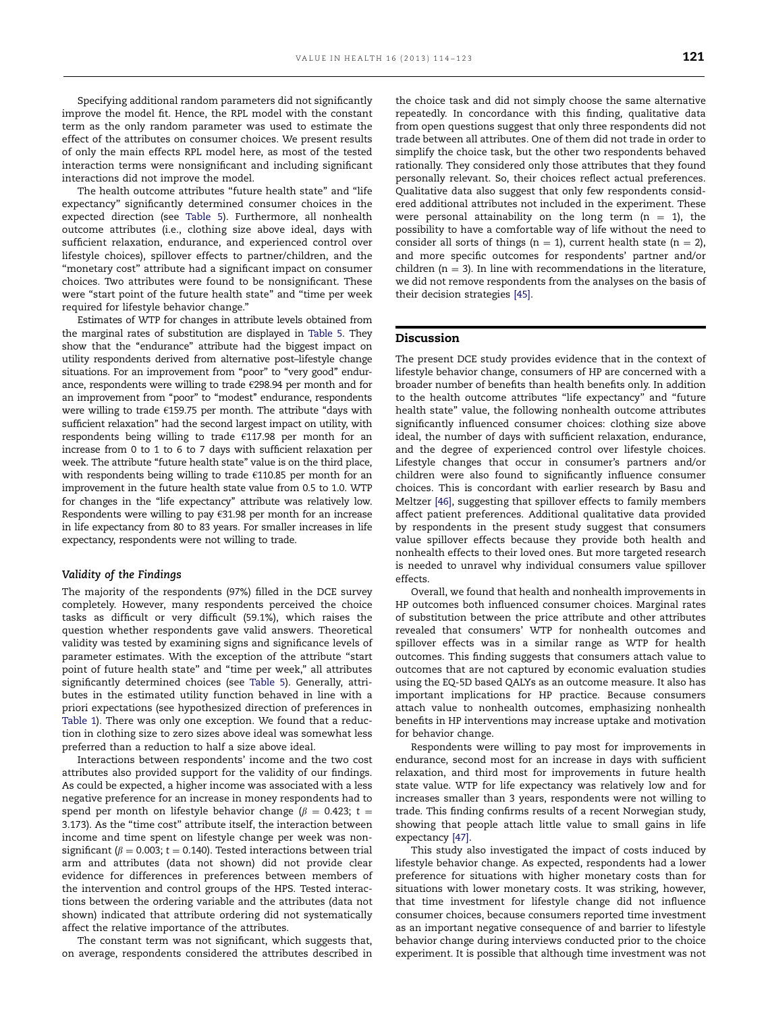Specifying additional random parameters did not significantly improve the model fit. Hence, the RPL model with the constant term as the only random parameter was used to estimate the effect of the attributes on consumer choices. We present results of only the main effects RPL model here, as most of the tested interaction terms were nonsignificant and including significant interactions did not improve the model.

The health outcome attributes "future health state" and "life expectancy'' significantly determined consumer choices in the expected direction (see [Table 5](#page-6-0)). Furthermore, all nonhealth outcome attributes (i.e., clothing size above ideal, days with sufficient relaxation, endurance, and experienced control over lifestyle choices), spillover effects to partner/children, and the ''monetary cost'' attribute had a significant impact on consumer choices. Two attributes were found to be nonsignificant. These were "start point of the future health state" and "time per week required for lifestyle behavior change.''

Estimates of WTP for changes in attribute levels obtained from the marginal rates of substitution are displayed in [Table 5.](#page-6-0) They show that the "endurance" attribute had the biggest impact on utility respondents derived from alternative post–lifestyle change situations. For an improvement from "poor" to "very good" endurance, respondents were willing to trade  $E$ 298.94 per month and for an improvement from "poor" to "modest" endurance, respondents were willing to trade  $E$ 159.75 per month. The attribute "days with sufficient relaxation'' had the second largest impact on utility, with respondents being willing to trade  $6117.98$  per month for an increase from 0 to 1 to 6 to 7 days with sufficient relaxation per week. The attribute "future health state" value is on the third place, with respondents being willing to trade  $f(110.85)$  per month for an improvement in the future health state value from 0.5 to 1.0. WTP for changes in the ''life expectancy'' attribute was relatively low. Respondents were willing to pay  $631.98$  per month for an increase in life expectancy from 80 to 83 years. For smaller increases in life expectancy, respondents were not willing to trade.

## Validity of the Findings

The majority of the respondents (97%) filled in the DCE survey completely. However, many respondents perceived the choice tasks as difficult or very difficult (59.1%), which raises the question whether respondents gave valid answers. Theoretical validity was tested by examining signs and significance levels of parameter estimates. With the exception of the attribute "start point of future health state" and "time per week," all attributes significantly determined choices (see [Table 5\)](#page-6-0). Generally, attributes in the estimated utility function behaved in line with a priori expectations (see hypothesized direction of preferences in [Table 1](#page-2-0)). There was only one exception. We found that a reduction in clothing size to zero sizes above ideal was somewhat less preferred than a reduction to half a size above ideal.

Interactions between respondents' income and the two cost attributes also provided support for the validity of our findings. As could be expected, a higher income was associated with a less negative preference for an increase in money respondents had to spend per month on lifestyle behavior change ( $\beta$  = 0.423; t = 3.173). As the ''time cost'' attribute itself, the interaction between income and time spent on lifestyle change per week was nonsignificant ( $\beta$  = 0.003; t = 0.140). Tested interactions between trial arm and attributes (data not shown) did not provide clear evidence for differences in preferences between members of the intervention and control groups of the HPS. Tested interactions between the ordering variable and the attributes (data not shown) indicated that attribute ordering did not systematically affect the relative importance of the attributes.

The constant term was not significant, which suggests that, on average, respondents considered the attributes described in

the choice task and did not simply choose the same alternative repeatedly. In concordance with this finding, qualitative data from open questions suggest that only three respondents did not trade between all attributes. One of them did not trade in order to simplify the choice task, but the other two respondents behaved rationally. They considered only those attributes that they found personally relevant. So, their choices reflect actual preferences. Qualitative data also suggest that only few respondents considered additional attributes not included in the experiment. These were personal attainability on the long term  $(n = 1)$ , the possibility to have a comfortable way of life without the need to consider all sorts of things ( $n = 1$ ), current health state ( $n = 2$ ), and more specific outcomes for respondents' partner and/or children ( $n = 3$ ). In line with recommendations in the literature, we did not remove respondents from the analyses on the basis of their decision strategies [\[45\]](#page-9-0).

## Discussion

The present DCE study provides evidence that in the context of lifestyle behavior change, consumers of HP are concerned with a broader number of benefits than health benefits only. In addition to the health outcome attributes ''life expectancy'' and ''future health state'' value, the following nonhealth outcome attributes significantly influenced consumer choices: clothing size above ideal, the number of days with sufficient relaxation, endurance, and the degree of experienced control over lifestyle choices. Lifestyle changes that occur in consumer's partners and/or children were also found to significantly influence consumer choices. This is concordant with earlier research by Basu and Meltzer [\[46\]](#page-9-0), suggesting that spillover effects to family members affect patient preferences. Additional qualitative data provided by respondents in the present study suggest that consumers value spillover effects because they provide both health and nonhealth effects to their loved ones. But more targeted research is needed to unravel why individual consumers value spillover effects.

Overall, we found that health and nonhealth improvements in HP outcomes both influenced consumer choices. Marginal rates of substitution between the price attribute and other attributes revealed that consumers' WTP for nonhealth outcomes and spillover effects was in a similar range as WTP for health outcomes. This finding suggests that consumers attach value to outcomes that are not captured by economic evaluation studies using the EQ-5D based QALYs as an outcome measure. It also has important implications for HP practice. Because consumers attach value to nonhealth outcomes, emphasizing nonhealth benefits in HP interventions may increase uptake and motivation for behavior change.

Respondents were willing to pay most for improvements in endurance, second most for an increase in days with sufficient relaxation, and third most for improvements in future health state value. WTP for life expectancy was relatively low and for increases smaller than 3 years, respondents were not willing to trade. This finding confirms results of a recent Norwegian study, showing that people attach little value to small gains in life expectancy [\[47\].](#page-9-0)

This study also investigated the impact of costs induced by lifestyle behavior change. As expected, respondents had a lower preference for situations with higher monetary costs than for situations with lower monetary costs. It was striking, however, that time investment for lifestyle change did not influence consumer choices, because consumers reported time investment as an important negative consequence of and barrier to lifestyle behavior change during interviews conducted prior to the choice experiment. It is possible that although time investment was not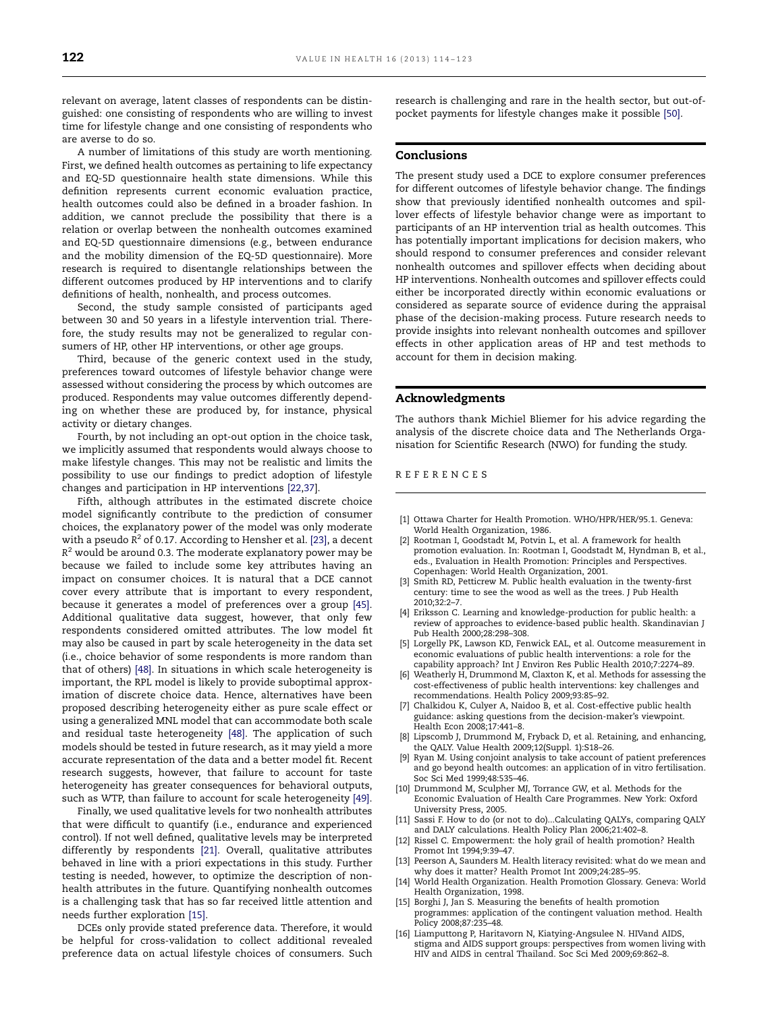<span id="page-8-0"></span>relevant on average, latent classes of respondents can be distinguished: one consisting of respondents who are willing to invest time for lifestyle change and one consisting of respondents who are averse to do so.

A number of limitations of this study are worth mentioning. First, we defined health outcomes as pertaining to life expectancy and EQ-5D questionnaire health state dimensions. While this definition represents current economic evaluation practice, health outcomes could also be defined in a broader fashion. In addition, we cannot preclude the possibility that there is a relation or overlap between the nonhealth outcomes examined and EQ-5D questionnaire dimensions (e.g., between endurance and the mobility dimension of the EQ-5D questionnaire). More research is required to disentangle relationships between the different outcomes produced by HP interventions and to clarify definitions of health, nonhealth, and process outcomes.

Second, the study sample consisted of participants aged between 30 and 50 years in a lifestyle intervention trial. Therefore, the study results may not be generalized to regular consumers of HP, other HP interventions, or other age groups.

Third, because of the generic context used in the study, preferences toward outcomes of lifestyle behavior change were assessed without considering the process by which outcomes are produced. Respondents may value outcomes differently depending on whether these are produced by, for instance, physical activity or dietary changes.

Fourth, by not including an opt-out option in the choice task, we implicitly assumed that respondents would always choose to make lifestyle changes. This may not be realistic and limits the possibility to use our findings to predict adoption of lifestyle changes and participation in HP interventions [\[22,37](#page-9-0)].

Fifth, although attributes in the estimated discrete choice model significantly contribute to the prediction of consumer choices, the explanatory power of the model was only moderate with a pseudo  $R^2$  of 0.17. According to Hensher et al. [\[23\],](#page-9-0) a decent  $R<sup>2</sup>$  would be around 0.3. The moderate explanatory power may be because we failed to include some key attributes having an impact on consumer choices. It is natural that a DCE cannot cover every attribute that is important to every respondent, because it generates a model of preferences over a group [\[45\].](#page-9-0) Additional qualitative data suggest, however, that only few respondents considered omitted attributes. The low model fit may also be caused in part by scale heterogeneity in the data set (i.e., choice behavior of some respondents is more random than that of others) [\[48\]](#page-9-0). In situations in which scale heterogeneity is important, the RPL model is likely to provide suboptimal approximation of discrete choice data. Hence, alternatives have been proposed describing heterogeneity either as pure scale effect or using a generalized MNL model that can accommodate both scale and residual taste heterogeneity [\[48\].](#page-9-0) The application of such models should be tested in future research, as it may yield a more accurate representation of the data and a better model fit. Recent research suggests, however, that failure to account for taste heterogeneity has greater consequences for behavioral outputs, such as WTP, than failure to account for scale heterogeneity [\[49\].](#page-9-0)

Finally, we used qualitative levels for two nonhealth attributes that were difficult to quantify (i.e., endurance and experienced control). If not well defined, qualitative levels may be interpreted differently by respondents [\[21\]](#page-9-0). Overall, qualitative attributes behaved in line with a priori expectations in this study. Further testing is needed, however, to optimize the description of nonhealth attributes in the future. Quantifying nonhealth outcomes is a challenging task that has so far received little attention and needs further exploration [15].

DCEs only provide stated preference data. Therefore, it would be helpful for cross-validation to collect additional revealed preference data on actual lifestyle choices of consumers. Such

research is challenging and rare in the health sector, but out-ofpocket payments for lifestyle changes make it possible [\[50\]](#page-9-0).

# Conclusions

The present study used a DCE to explore consumer preferences for different outcomes of lifestyle behavior change. The findings show that previously identified nonhealth outcomes and spillover effects of lifestyle behavior change were as important to participants of an HP intervention trial as health outcomes. This has potentially important implications for decision makers, who should respond to consumer preferences and consider relevant nonhealth outcomes and spillover effects when deciding about HP interventions. Nonhealth outcomes and spillover effects could either be incorporated directly within economic evaluations or considered as separate source of evidence during the appraisal phase of the decision-making process. Future research needs to provide insights into relevant nonhealth outcomes and spillover effects in other application areas of HP and test methods to account for them in decision making.

#### Acknowledgments

The authors thank Michiel Bliemer for his advice regarding the analysis of the discrete choice data and The Netherlands Organisation for Scientific Research (NWO) for funding the study.

REFERENCES

- [1] Ottawa Charter for Health Promotion. WHO/HPR/HER/95.1. Geneva: World Health Organization, 1986.
- [2] Rootman I, Goodstadt M, Potvin L, et al. A framework for health promotion evaluation. In: Rootman I, Goodstadt M, Hyndman B, et al., eds., Evaluation in Health Promotion: Principles and Perspectives. Copenhagen: World Health Organization, 2001.
- [3] Smith RD, Petticrew M. Public health evaluation in the twenty-first century: time to see the wood as well as the trees. J Pub Health 2010;32:2–7.
- [4] Eriksson C. Learning and knowledge-production for public health: a review of approaches to evidence-based public health. Skandinavian J Pub Health 2000;28:298–308.
- [5] Lorgelly PK, Lawson KD, Fenwick EAL, et al. Outcome measurement in economic evaluations of public health interventions: a role for the capability approach? Int J Environ Res Public Health 2010;7:2274–89.
- [6] Weatherly H, Drummond M, Claxton K, et al. Methods for assessing the cost-effectiveness of public health interventions: key challenges and
- recommendations. Health Policy 2009;93:85–92. [7] Chalkidou K, Culyer A, Naidoo B, et al. Cost-effective public health guidance: asking questions from the decision-maker's viewpoint. Health Econ 2008;17:441–8.
- [8] Lipscomb J, Drummond M, Fryback D, et al. Retaining, and enhancing, the QALY. Value Health 2009;12(Suppl. 1):S18–26.
- Ryan M. Using conjoint analysis to take account of patient preferences and go beyond health outcomes: an application of in vitro fertilisation. Soc Sci Med 1999;48:535–46.
- [10] Drummond M, Sculpher MJ, Torrance GW, et al. Methods for the Economic Evaluation of Health Care Programmes. New York: Oxford University Press, 2005.
- [11] Sassi F. How to do (or not to do)...Calculating QALYs, comparing QALY and DALY calculations. Health Policy Plan 2006;21:402–8.
- [12] Rissel C. Empowerment: the holy grail of health promotion? Health Promot Int 1994;9:39–47.
- [13] Peerson A, Saunders M. Health literacy revisited: what do we mean and why does it matter? Health Promot Int 2009;24:285–95.
- [14] World Health Organization. Health Promotion Glossary. Geneva: World Health Organization, 1998.
- [15] Borghi J, Jan S. Measuring the benefits of health promotion programmes: application of the contingent valuation method. Health Policy 2008;87:235–48.
- [16] Liamputtong P, Haritavorn N, Kiatying-Angsulee N. HIVand AIDS, stigma and AIDS support groups: perspectives from women living with HIV and AIDS in central Thailand. Soc Sci Med 2009;69:862–8.